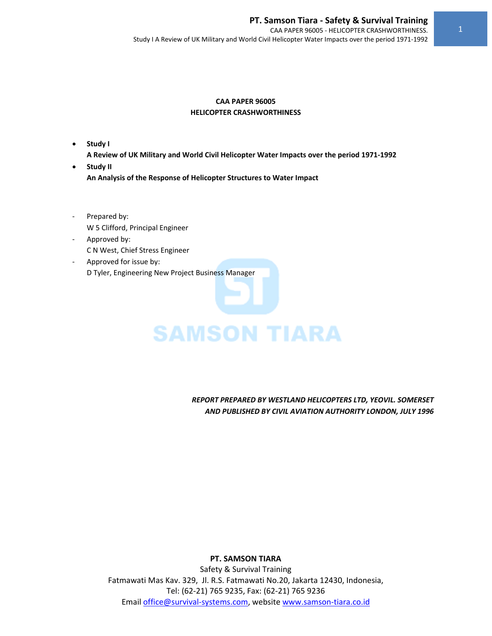#### **CAA PAPER 96005 HELICOPTER CRASHWORTHINESS**

• **Study I** 

**A Review of UK Military and World Civil Helicopter Water Impacts over the period 1971‐1992**

- **Study II An Analysis of the Response of Helicopter Structures to Water Impact**
- ‐ Prepared by: W 5 Clifford, Principal Engineer
- ‐ Approved by: C N West, Chief Stress Engineer
- ‐ Approved for issue by: D Tyler, Engineering New Project Business Manager

# **SAMSON TIARA**

*REPORT PREPARED BY WESTLAND HELICOPTERS LTD, YEOVIL. SOMERSET AND PUBLISHED BY CIVIL AVIATION AUTHORITY LONDON, JULY 1996*

**PT. SAMSON TIARA**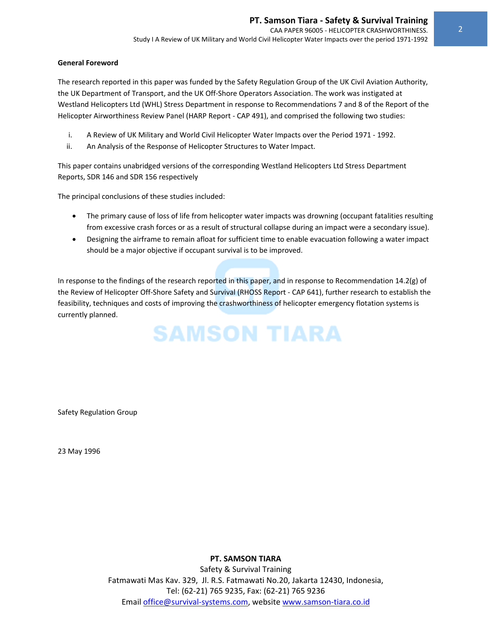#### **General Foreword**

The research reported in this paper was funded by the Safety Regulation Group of the UK Civil Aviation Authority, the UK Department of Transport, and the UK Off‐Shore Operators Association. The work was instigated at Westland Helicopters Ltd (WHL) Stress Department in response to Recommendations 7 and 8 of the Report of the Helicopter Airworthiness Review Panel (HARP Report ‐ CAP 491), and comprised the following two studies:

- i. A Review of UK Military and World Civil Helicopter Water Impacts over the Period 1971 ‐ 1992.
- ii. An Analysis of the Response of Helicopter Structures to Water Impact.

This paper contains unabridged versions of the corresponding Westland Helicopters Ltd Stress Department Reports, SDR 146 and SDR 156 respectively

The principal conclusions of these studies included:

- The primary cause of loss of life from helicopter water impacts was drowning (occupant fatalities resulting from excessive crash forces or as a result of structural collapse during an impact were a secondary issue).
- Designing the airframe to remain afloat for sufficient time to enable evacuation following a water impact should be a major objective if occupant survival is to be improved.

In response to the findings of the research reported in this paper, and in response to Recommendation 14.2(g) of the Review of Helicopter Off‐Shore Safety and Survival (RHOSS Report ‐ CAP 641), further research to establish the feasibility, techniques and costs of improving the crashworthiness of helicopter emergency flotation systems is currently planned.

### **SAMSON TIARA**

Safety Regulation Group

23 May 1996

**PT. SAMSON TIARA**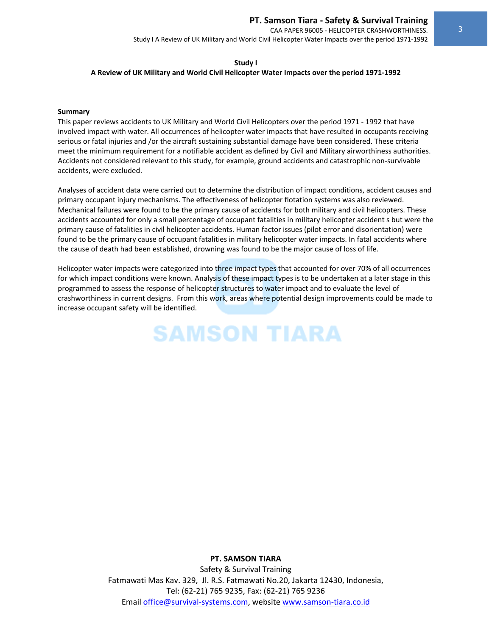CAA PAPER 96005 ‐ HELICOPTER CRASHWORTHINESS. Study I A Review of UK Military and World Civil Helicopter Water Impacts over the period 1971‐1992

#### **Study I**

#### **A Review of UK Military and World Civil Helicopter Water Impacts over the period 1971‐1992**

#### **Summary**

This paper reviews accidents to UK Military and World Civil Helicopters over the period 1971 ‐ 1992 that have involved impact with water. All occurrences of helicopter water impacts that have resulted in occupants receiving serious or fatal injuries and /or the aircraft sustaining substantial damage have been considered. These criteria meet the minimum requirement for a notifiable accident as defined by Civil and Military airworthiness authorities. Accidents not considered relevant to this study, for example, ground accidents and catastrophic non‐survivable accidents, were excluded.

Analyses of accident data were carried out to determine the distribution of impact conditions, accident causes and primary occupant injury mechanisms. The effectiveness of helicopter flotation systems was also reviewed. Mechanical failures were found to be the primary cause of accidents for both military and civil helicopters. These accidents accounted for only a small percentage of occupant fatalities in military helicopter accident s but were the primary cause of fatalities in civil helicopter accidents. Human factor issues (pilot error and disorientation) were found to be the primary cause of occupant fatalities in military helicopter water impacts. In fatal accidents where the cause of death had been established, drowning was found to be the major cause of loss of life.

Helicopter water impacts were categorized into three impact types that accounted for over 70% of all occurrences for which impact conditions were known. Analysis of these impact types is to be undertaken at a later stage in this programmed to assess the response of helicopter structures to water impact and to evaluate the level of crashworthiness in current designs. From this work, areas where potential design improvements could be made to increase occupant safety will be identified.

## **SAMSON TIARA**

#### **PT. SAMSON TIARA**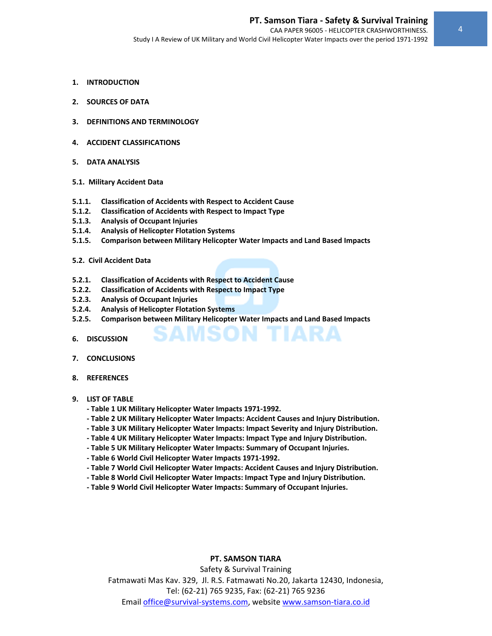- **1. INTRODUCTION**
- **2. SOURCES OF DATA**
- **3. DEFINITIONS AND TERMINOLOGY**
- **4. ACCIDENT CLASSIFICATIONS**
- **5. DATA ANALYSIS**
- **5.1. Military Accident Data**
- **5.1.1. Classification of Accidents with Respect to Accident Cause**
- **5.1.2. Classification of Accidents with Respect to Impact Type**
- **5.1.3. Analysis of Occupant Injuries**
- **5.1.4. Analysis of Helicopter Flotation Systems**
- **5.1.5. Comparison between Military Helicopter Water Impacts and Land Based Impacts**
- **5.2. Civil Accident Data**
- **5.2.1. Classification of Accidents with Respect to Accident Cause**
- **5.2.2. Classification of Accidents with Respect to Impact Type**
- **5.2.3. Analysis of Occupant Injuries**
- **5.2.4. Analysis of Helicopter Flotation Systems**
- **5.2.5. Comparison between Military Helicopter Water Impacts and Land Based Impacts**
- **6. DISCUSSION**
- **7. CONCLUSIONS**
- **8. REFERENCES**
- **9. LIST OF TABLE**
	- **‐ Table 1 UK Military Helicopter Water Impacts 1971‐1992.**
	- **‐ Table 2 UK Military Helicopter Water Impacts: Accident Causes and Injury Distribution.**
	- **‐ Table 3 UK Military Helicopter Water Impacts: Impact Severity and Injury Distribution.**
	- **‐ Table 4 UK Military Helicopter Water Impacts: Impact Type and Injury Distribution.**
	- **‐ Table 5 UK Military Helicopter Water Impacts: Summary of Occupant Injuries.**
	- **‐ Table 6 World Civil Helicopter Water Impacts 1971‐1992.**
	- **‐ Table 7 World Civil Helicopter Water Impacts: Accident Causes and Injury Distribution.**
	- **‐ Table 8 World Civil Helicopter Water Impacts: Impact Type and Injury Distribution.**
	- **‐ Table 9 World Civil Helicopter Water Impacts: Summary of Occupant Injuries.**

#### **PT. SAMSON TIARA**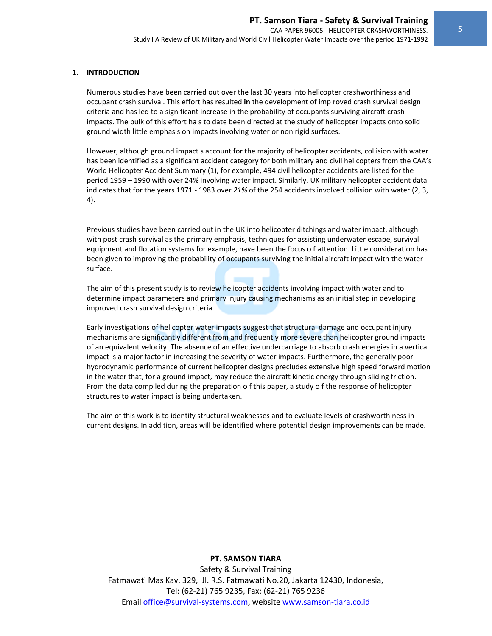#### **1. INTRODUCTION**

Numerous studies have been carried out over the last 30 years into helicopter crashworthiness and occupant crash survival. This effort has resulted **in** the development of imp roved crash survival design criteria and has led to a significant increase in the probability of occupants surviving aircraft crash impacts. The bulk of this effort ha s to date been directed at the study of helicopter impacts onto solid ground width little emphasis on impacts involving water or non rigid surfaces.

However, although ground impact s account for the majority of helicopter accidents, collision with water has been identified as a significant accident category for both military and civil helicopters from the CAA's World Helicopter Accident Summary (1), for example, 494 civil helicopter accidents are listed for the period 1959 – 1990 with over 24% involving water impact. Similarly, UK military helicopter accident data indicates that for the years 1971 ‐ 1983 over *21%* of the 254 accidents involved collision with water (2, 3, 4).

Previous studies have been carried out in the UK into helicopter ditchings and water impact, although with post crash survival as the primary emphasis, techniques for assisting underwater escape, survival equipment and flotation systems for example, have been the focus o f attention. Little consideration has been given to improving the probability of occupants surviving the initial aircraft impact with the water surface.

The aim of this present study is to review helicopter accidents involving impact with water and to determine impact parameters and primary injury causing mechanisms as an initial step in developing improved crash survival design criteria.

Early investigations of helicopter water impacts suggest that structural damage and occupant injury mechanisms are significantly different from and frequently more severe than helicopter ground impacts of an equivalent velocity. The absence of an effective undercarriage to absorb crash energies in a vertical impact is a major factor in increasing the severity of water impacts. Furthermore, the generally poor hydrodynamic performance of current helicopter designs precludes extensive high speed forward motion in the water that, for a ground impact, may reduce the aircraft kinetic energy through sliding friction. From the data compiled during the preparation o f this paper, a study o f the response of helicopter structures to water impact is being undertaken.

The aim of this work is to identify structural weaknesses and to evaluate levels of crashworthiness in current designs. In addition, areas will be identified where potential design improvements can be made.

#### **PT. SAMSON TIARA**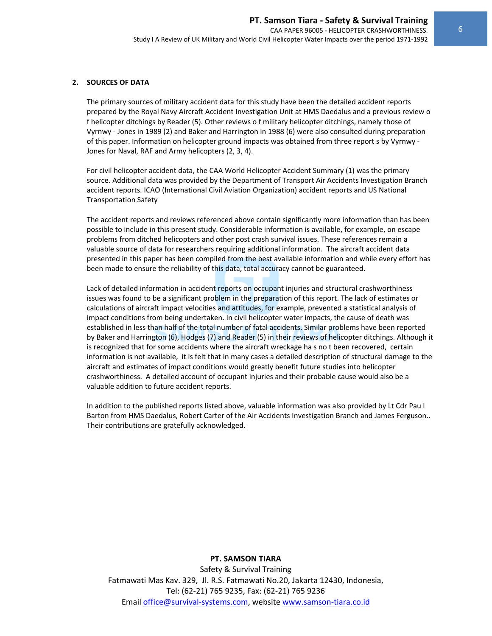#### **2. SOURCES OF DATA**

The primary sources of military accident data for this study have been the detailed accident reports prepared by the Royal Navy Aircraft Accident Investigation Unit at HMS Daedalus and a previous review o f helicopter ditchings by Reader (5). Other reviews o f military helicopter ditchings, namely those of Vyrnwy ‐ Jones in 1989 (2) and Baker and Harrington in 1988 (6) were also consulted during preparation of this paper. Information on helicopter ground impacts was obtained from three report s by Vyrnwy ‐ Jones for Naval, RAF and Army helicopters (2, 3, 4).

For civil helicopter accident data, the CAA World Helicopter Accident Summary (1) was the primary source. Additional data was provided by the Department of Transport Air Accidents Investigation Branch accident reports. ICAO (International Civil Aviation Organization) accident reports and US National Transportation Safety

The accident reports and reviews referenced above contain significantly more information than has been possible to include in this present study. Considerable information is available, for example, on escape problems from ditched helicopters and other post crash survival issues. These references remain a valuable source of data for researchers requiring additional information. The aircraft accident data presented in this paper has been compiled from the best available information and while every effort has been made to ensure the reliability of this data, total accuracy cannot be guaranteed.

Lack of detailed information in accident reports on occupant injuries and structural crashworthiness issues was found to be a significant problem in the preparation of this report. The lack of estimates or calculations of aircraft impact velocities and attitudes, for example, prevented a statistical analysis of impact conditions from being undertaken. In civil helicopter water impacts, the cause of death was established in less than half of the total number of fatal accidents. Similar problems have been reported by Baker and Harrington (6), Hodges (7) and Reader (5) in their reviews of helicopter ditchings. Although it is recognized that for some accidents where the aircraft wreckage ha s no t been recovered, certain information is not available, it is felt that in many cases a detailed description of structural damage to the aircraft and estimates of impact conditions would greatly benefit future studies into helicopter crashworthiness. A detailed account of occupant injuries and their probable cause would also be a valuable addition to future accident reports.

In addition to the published reports listed above, valuable information was also provided by Lt Cdr Pau l Barton from HMS Daedalus, Robert Carter of the Air Accidents Investigation Branch and James Ferguson.. Their contributions are gratefully acknowledged.

#### **PT. SAMSON TIARA**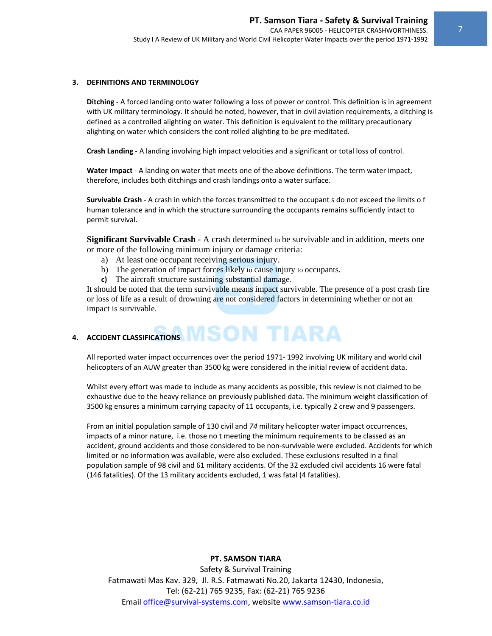#### **3. DEFINITIONS AND TERMINOLOGY**

**Ditching** ‐ A forced landing onto water following a loss of power or control. This definition is in agreement with UK military terminology. It should he noted, however, that in civil aviation requirements, a ditching is defined as a controlled alighting on water. This definition is equivalent to the military precautionary alighting on water which considers the cont rolled alighting to be pre‐meditated.

**Crash Landing** ‐ A landing involving high impact velocities and a significant or total loss of control.

**Water Impact** ‐ A landing on water that meets one of the above definitions. The term water impact, therefore, includes both ditchings and crash landings onto a water surface.

**Survivable Crash** ‐ A crash in which the forces transmitted to the occupant s do not exceed the limits o f human tolerance and in which the structure surrounding the occupants remains sufficiently intact to permit survival.

**Significant Survivable Crash** - A crash determined to be survivable and in addition, meets one or more of the following minimum injury or damage criteria:

- a) At least one occupant receiving serious injury.
- b) The generation of impact forces likely to cause injury to occupants.
- **c)** The aircraft structure sustaining substantial damage.

It should be noted that the term survivable means impact survivable. The presence of a post crash fire or loss of life as a result of drowning are not considered factors in determining whether or not an impact is survivable.

### **4.** ACCIDENT CLASSIFICATIONS **MISON TIARA**

All reported water impact occurrences over the period 1971‐ 1992 involving UK military and world civil helicopters of an AUW greater than 3500 kg were considered in the initial review of accident data.

Whilst every effort was made to include as many accidents as possible, this review is not claimed to be exhaustive due to the heavy reliance on previously published data. The minimum weight classification of 3500 kg ensures a minimum carrying capacity of 11 occupants, i.e. typically 2 crew and 9 passengers.

From an initial population sample of 130 civil and *74* military helicopter water impact occurrences, impacts of a minor nature, i.e. those no t meeting the minimum requirements to be classed as an accident, ground accidents and those considered to be non‐survivable were excluded. Accidents for which limited or no information was available, were also excluded. These exclusions resulted in a final population sample of 98 civil and 61 military accidents. Of the 32 excluded civil accidents 16 were fatal (146 fatalities). Of the 13 military accidents excluded, 1 was fatal (4 fatalities).

#### **PT. SAMSON TIARA**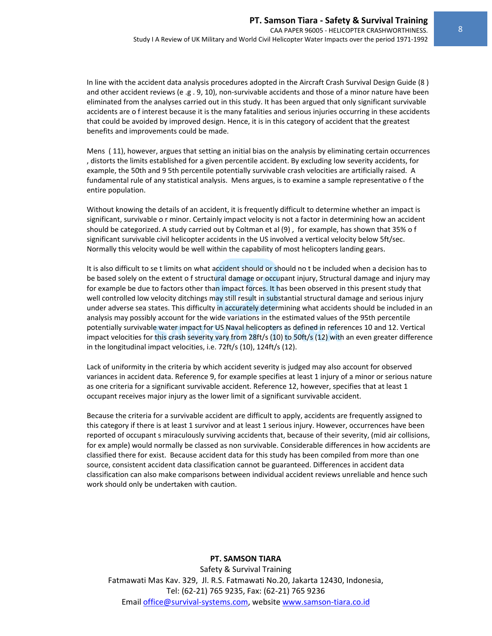In line with the accident data analysis procedures adopted in the Aircraft Crash Survival Design Guide (8 ) and other accident reviews (e .g . 9, 10), non-survivable accidents and those of a minor nature have been eliminated from the analyses carried out in this study. It has been argued that only significant survivable accidents are o f interest because it is the many fatalities and serious injuries occurring in these accidents that could be avoided by improved design. Hence, it is in this category of accident that the greatest benefits and improvements could be made.

Mens ( 11), however, argues that setting an initial bias on the analysis by eliminating certain occurrences , distorts the limits established for a given percentile accident. By excluding low severity accidents, for example, the 50th and 9 5th percentile potentially survivable crash velocities are artificially raised. A fundamental rule of any statistical analysis. Mens argues, is to examine a sample representative o f the entire population.

Without knowing the details of an accident, it is frequently difficult to determine whether an impact is significant, survivable o r minor. Certainly impact velocity is not a factor in determining how an accident should be categorized. A study carried out by Coltman et al (9) , for example, has shown that 35% o f significant survivable civil helicopter accidents in the US involved a vertical velocity below 5ft/sec. Normally this velocity would be well within the capability of most helicopters landing gears.

It is also difficult to se t limits on what accident should or should no t be included when a decision has to be based solely on the extent o f structural damage or occupant injury, Structural damage and injury may for example be due to factors other than impact forces. It has been observed in this present study that well controlled low velocity ditchings may still result in substantial structural damage and serious injury under adverse sea states. This difficulty in accurately determining what accidents should be included in an analysis may possibly account for the wide variations in the estimated values of the 95th percentile potentially survivable water impact for US Naval helicopters as defined in references 10 and 12. Vertical impact velocities for this crash severity vary from 28ft/s (10) to 50ft/s (12) with an even greater difference in the longitudinal impact velocities, i.e. 72ft/s (10), 124ft/s (12).

Lack of uniformity in the criteria by which accident severity is judged may also account for observed variances in accident data. Reference 9, for example specifies at least 1 injury of a minor or serious nature as one criteria for a significant survivable accident. Reference 12, however, specifies that at least 1 occupant receives major injury as the lower limit of a significant survivable accident.

Because the criteria for a survivable accident are difficult to apply, accidents are frequently assigned to this category if there is at least 1 survivor and at least 1 serious injury. However, occurrences have been reported of occupant s miraculously surviving accidents that, because of their severity, (mid air collisions, for ex ample) would normally be classed as non survivable. Considerable differences in how accidents are classified there for exist. Because accident data for this study has been compiled from more than one source, consistent accident data classification cannot be guaranteed. Differences in accident data classification can also make comparisons between individual accident reviews unreliable and hence such work should only be undertaken with caution.

#### **PT. SAMSON TIARA**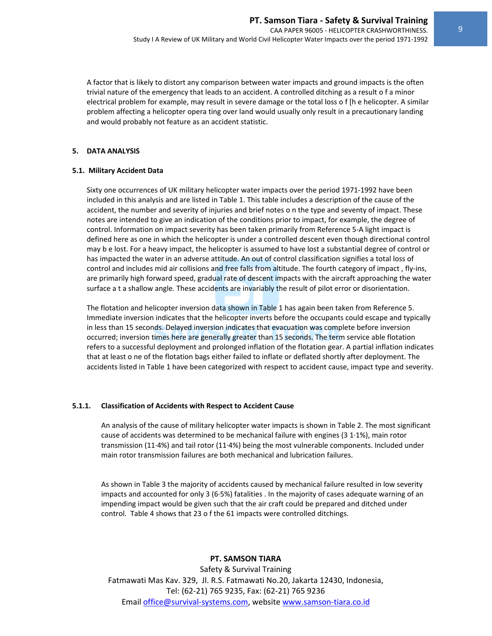A factor that is likely to distort any comparison between water impacts and ground impacts is the often trivial nature of the emergency that leads to an accident. A controlled ditching as a result o f a minor electrical problem for example, may result in severe damage or the total loss o f [h e helicopter. A similar problem affecting a helicopter opera ting over land would usually only result in a precautionary landing and would probably not feature as an accident statistic.

#### **5. DATA ANALYSIS**

#### **5.1. Military Accident Data**

Sixty one occurrences of UK military helicopter water impacts over the period 1971‐1992 have been included in this analysis and are listed in Table 1. This table includes a description of the cause of the accident, the number and severity of injuries and brief notes o n the type and seventy of impact. These notes are intended to give an indication of the conditions prior to impact, for example, the degree of control. Information on impact severity has been taken primarily from Reference 5‐A light impact is defined here as one in which the helicopter is under a controlled descent even though directional control may b e lost. For a heavy impact, the helicopter is assumed to have lost a substantial degree of control or has impacted the water in an adverse attitude. An out of control classification signifies a total loss of control and includes mid air collisions and free falls from altitude. The fourth category of impact, fly-ins, are primarily high forward speed, gradual rate of descent impacts with the aircraft approaching the water surface a t a shallow angle. These accidents are invariably the result of pilot error or disorientation.

The flotation and helicopter inversion data shown in Table 1 has again been taken from Reference 5. Immediate inversion indicates that the helicopter inverts before the occupants could escape and typically in less than 15 seconds. Delayed inversion indicates that evacuation was complete before inversion occurred; inversion times here are generally greater than 15 seconds. The term service able flotation refers to a successful deployment and prolonged inflation of the flotation gear. A partial inflation indicates that at least o ne of the flotation bags either failed to inflate or deflated shortly after deployment. The accidents listed in Table 1 have been categorized with respect to accident cause, impact type and severity.

#### **5.1.1. Classification of Accidents with Respect to Accident Cause**

An analysis of the cause of military helicopter water impacts is shown in Table 2. The most significant cause of accidents was determined to be mechanical failure with engines (3 1∙1%), main rotor transmission (11∙4%) and tail rotor (11∙4%) being the most vulnerable components. Included under main rotor transmission failures are both mechanical and lubrication failures.

As shown in Table 3 the majority of accidents caused by mechanical failure resulted in low severity impacts and accounted for only 3 (6∙5%) fatalities . In the majority of cases adequate warning of an impending impact would be given such that the air craft could be prepared and ditched under control. Table 4 shows that 23 o f the 61 impacts were controlled ditchings.

#### **PT. SAMSON TIARA**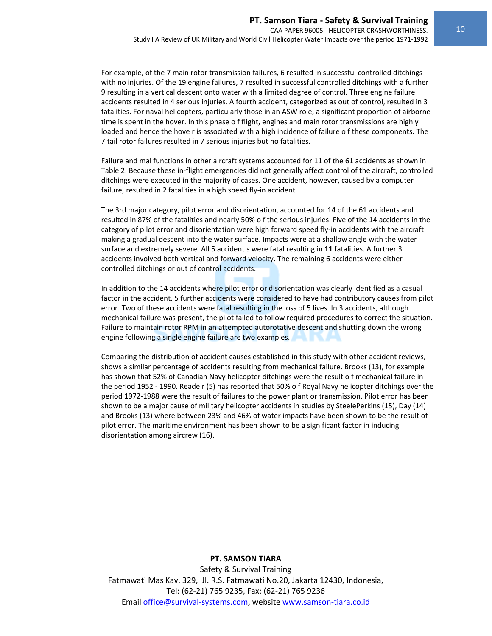For example, of the 7 main rotor transmission failures, 6 resulted in successful controlled ditchings with no injuries. Of the 19 engine failures, 7 resulted in successful controlled ditchings with a further 9 resulting in a vertical descent onto water with a limited degree of control. Three engine failure accidents resulted in 4 serious injuries. A fourth accident, categorized as out of control, resulted in 3 fatalities. For naval helicopters, particularly those in an ASW role, a significant proportion of airborne time is spent in the hover. In this phase o f flight, engines and main rotor transmissions are highly loaded and hence the hove r is associated with a high incidence of failure o f these components. The 7 tail rotor failures resulted in 7 serious injuries but no fatalities.

Failure and mal functions in other aircraft systems accounted for 11 of the 61 accidents as shown in Table 2. Because these in‐flight emergencies did not generally affect control of the aircraft, controlled ditchings were executed in the majority of cases. One accident, however, caused by a computer failure, resulted in 2 fatalities in a high speed fly‐in accident.

The 3rd major category, pilot error and disorientation, accounted for 14 of the 61 accidents and resulted in 87% of the fatalities and nearly 50% o f the serious injuries. Five of the 14 accidents in the category of pilot error and disorientation were high forward speed fly-in accidents with the aircraft making a gradual descent into the water surface. Impacts were at a shallow angle with the water surface and extremely severe. All 5 accident s were fatal resulting in **11** fatalities. A further 3 accidents involved both vertical and forward velocity. The remaining 6 accidents were either controlled ditchings or out of control accidents.

In addition to the 14 accidents where pilot error or disorientation was clearly identified as a casual factor in the accident, 5 further accidents were considered to have had contributory causes from pilot error. Two of these accidents were fatal resulting in the loss of 5 lives. In 3 accidents, although mechanical failure was present, the pilot failed to follow required procedures to correct the situation. Failure to maintain rotor RPM in an attempted autorotative descent and shutting down the wrong engine following a single engine failure are two examples.

Comparing the distribution of accident causes established in this study with other accident reviews, shows a similar percentage of accidents resulting from mechanical failure. Brooks (13), for example has shown that 52% of Canadian Navy helicopter ditchings were the result o f mechanical failure in the period 1952 ‐ 1990. Reade r (5) has reported that 50% o f Royal Navy helicopter ditchings over the period 1972‐1988 were the result of failures to the power plant or transmission. Pilot error has been shown to be a major cause of military helicopter accidents in studies by SteelePerkins (15), Day (14) and Brooks (13) where between 23% and 46% of water impacts have been shown to be the result of pilot error. The maritime environment has been shown to be a significant factor in inducing disorientation among aircrew (16).

#### **PT. SAMSON TIARA**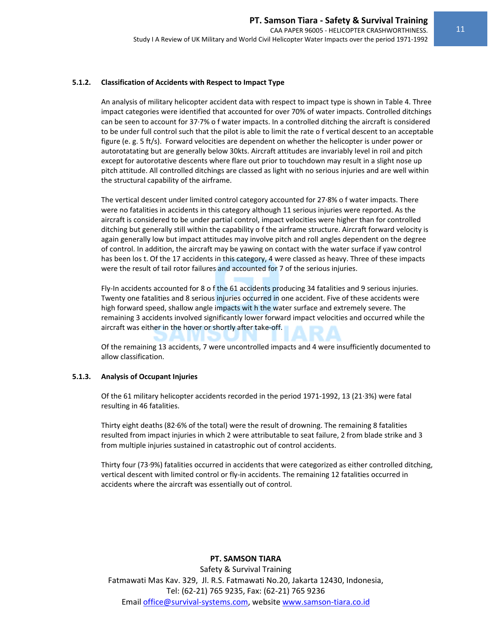#### **5.1.2. Classification of Accidents with Respect to Impact Type**

An analysis of military helicopter accident data with respect to impact type is shown in Table 4. Three impact categories were identified that accounted for over 70% of water impacts. Controlled ditchings can be seen to account for 37∙7% o f water impacts. In a controlled ditching the aircraft is considered to be under full control such that the pilot is able to limit the rate o f vertical descent to an acceptable figure (e. g. 5 ft/s). Forward velocities are dependent on whether the helicopter is under power or autorotatating but are generally below 30kts. Aircraft attitudes are invariably level in roil and pitch except for autorotative descents where flare out prior to touchdown may result in a slight nose up pitch attitude. All controlled ditchings are classed as light with no serious injuries and are well within the structural capability of the airframe.

The vertical descent under limited control category accounted for 27∙8% o f water impacts. There were no fatalities in accidents in this category although 11 serious injuries were reported. As the aircraft is considered to be under partial control, impact velocities were higher than for controlled ditching but generally still within the capability o f the airframe structure. Aircraft forward velocity is again generally low but impact attitudes may involve pitch and roll angles dependent on the degree of control. In addition, the aircraft may be yawing on contact with the water surface if yaw control has been los t. Of the 17 accidents in this category, 4 were classed as heavy. Three of these impacts were the result of tail rotor failures and accounted for 7 of the serious injuries.

Fly-In accidents accounted for 8 o f the 61 accidents producing 34 fatalities and 9 serious injuries. Twenty one fatalities and 8 serious injuries occurred in one accident. Five of these accidents were high forward speed, shallow angle impacts wit h the water surface and extremely severe. The remaining 3 accidents involved significantly lower forward impact velocities and occurred while the aircraft was either in the hover or shortly after take‐off.

Of the remaining 13 accidents, 7 were uncontrolled impacts and 4 were insufficiently documented to allow classification.

#### **5.1.3. Analysis of Occupant Injuries**

Of the 61 military helicopter accidents recorded in the period 1971‐1992, 13 (21∙3%) were fatal resulting in 46 fatalities.

Thirty eight deaths (82∙6% of the total) were the result of drowning. The remaining 8 fatalities resulted from impact injuries in which 2 were attributable to seat failure, 2 from blade strike and 3 from multiple injuries sustained in catastrophic out of control accidents.

Thirty four (73⋅9%) fatalities occurred in accidents that were categorized as either controlled ditching, vertical descent with limited control or fly‐in accidents. The remaining 12 fatalities occurred in accidents where the aircraft was essentially out of control.

#### **PT. SAMSON TIARA**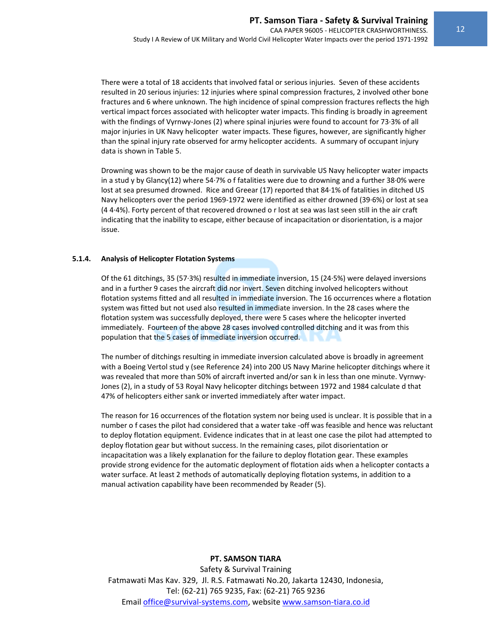There were a total of 18 accidents that involved fatal or serious injuries. Seven of these accidents resulted in 20 serious injuries: 12 injuries where spinal compression fractures, 2 involved other bone fractures and 6 where unknown. The high incidence of spinal compression fractures reflects the high vertical impact forces associated with helicopter water impacts. This finding is broadly in agreement with the findings of Vyrnwy-Jones (2) where spinal injuries were found to account for 73∙3% of all major injuries in UK Navy helicopter water impacts. These figures, however, are significantly higher than the spinal injury rate observed for army helicopter accidents. A summary of occupant injury data is shown in Table 5.

Drowning was shown to be the major cause of death in survivable US Navy helicopter water impacts in a stud y by Glancy(12) where 54∙7% o f fatalities were due to drowning and a further 38∙0% were lost at sea presumed drowned. Rice and Greear (17) reported that 84∙1% of fatalities in ditched US Navy helicopters over the period 1969‐1972 were identified as either drowned (39∙6%) or lost at sea (4 4∙4%). Forty percent of that recovered drowned o r lost at sea was last seen still in the air craft indicating that the inability to escape, either because of incapacitation or disorientation, is a major issue.

#### **5.1.4. Analysis of Helicopter Flotation Systems**

Of the 61 ditchings, 35 (57∙3%) resulted in immediate inversion, 15 (24∙5%) were delayed inversions and in a further 9 cases the aircraft did nor invert. Seven ditching involved helicopters without flotation systems fitted and all resulted in immediate inversion. The 16 occurrences where a flotation system was fitted but not used also resulted in immediate inversion. In the 28 cases where the flotation system was successfully deployed, there were 5 cases where the helicopter inverted immediately. Fourteen of the above 28 cases involved controlled ditching and it was from this population that the 5 cases of immediate inversion occurred.

The number of ditchings resulting in immediate inversion calculated above is broadly in agreement with a Boeing Vertol stud y (see Reference 24) into 200 US Navy Marine helicopter ditchings where it was revealed that more than 50% of aircraft inverted and/or san k in less than one minute. Vyrnwy-Jones (2), in a study of 53 Royal Navy helicopter ditchings between 1972 and 1984 calculate d that 47% of helicopters either sank or inverted immediately after water impact.

The reason for 16 occurrences of the flotation system nor being used is unclear. It is possible that in a number o f cases the pilot had considered that a water take ‐off was feasible and hence was reluctant to deploy flotation equipment. Evidence indicates that in at least one case the pilot had attempted to deploy flotation gear but without success. In the remaining cases, pilot disorientation or incapacitation was a likely explanation for the failure to deploy flotation gear. These examples provide strong evidence for the automatic deployment of flotation aids when a helicopter contacts a water surface. At least 2 methods of automatically deploying flotation systems, in addition to a manual activation capability have been recommended by Reader (5).

#### **PT. SAMSON TIARA**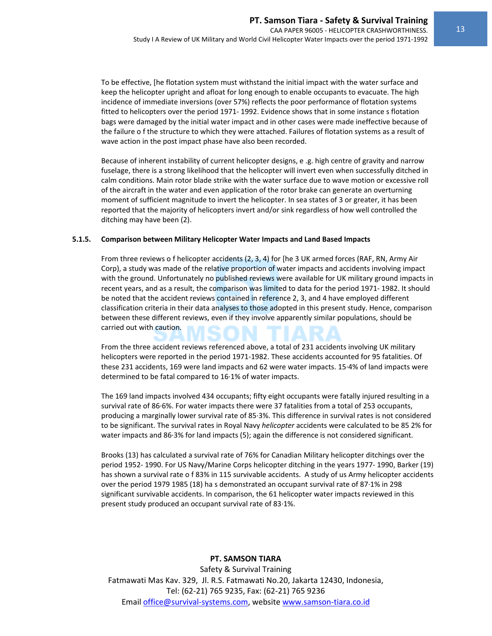To be effective, [he flotation system must withstand the initial impact with the water surface and keep the helicopter upright and afloat for long enough to enable occupants to evacuate. The high incidence of immediate inversions (over 57%) reflects the poor performance of flotation systems fitted to helicopters over the period 1971‐ 1992. Evidence shows that in some instance s flotation bags were damaged by the initial water impact and in other cases were made ineffective because of the failure o f the structure to which they were attached. Failures of flotation systems as a result of wave action in the post impact phase have also been recorded.

Because of inherent instability of current helicopter designs, e .g. high centre of gravity and narrow fuselage, there is a strong likelihood that the helicopter will invert even when successfully ditched in calm conditions. Main rotor blade strike with the water surface due to wave motion or excessive roll of the aircraft in the water and even application of the rotor brake can generate an overturning moment of sufficient magnitude to invert the helicopter. In sea states of 3 or greater, it has been reported that the majority of helicopters invert and/or sink regardless of how well controlled the ditching may have been (2).

#### **5.1.5. Comparison between Military Helicopter Water Impacts and Land Based Impacts**

From three reviews o f helicopter accidents (2, 3, 4) for [he 3 UK armed forces (RAF, RN, Army Air Corp), a study was made of the relative proportion of water impacts and accidents involving impact with the ground. Unfortunately no published reviews were available for UK military ground impacts in recent years, and as a result, the comparison was limited to data for the period 1971‐ 1982. It should be noted that the accident reviews contained in reference 2, 3, and 4 have employed different classification criteria in their data analyses to those adopted in this present study. Hence, comparison between these different reviews, even if they involve apparently similar populations, should be carried out with caution.

From the three accident reviews referenced above, a total of 231 accidents involving UK military helicopters were reported in the period 1971-1982. These accidents accounted for 95 fatalities. Of these 231 accidents, 169 were land impacts and 62 were water impacts. 15∙4% of land impacts were determined to be fatal compared to 16∙1% of water impacts.

The 169 land impacts involved 434 occupants; fifty eight occupants were fatally injured resulting in a survival rate of 86∙6%. For water impacts there were 37 fatalities from a total of 253 occupants, producing a marginally lower survival rate of 85∙3%. This difference in survival rates is not considered to be significant. The survival rates in Royal Navy *helicopter* accidents were calculated to be 85 2% for water impacts and 86⋅3% for land impacts (5); again the difference is not considered significant.

Brooks (13) has calculated a survival rate of 76% for Canadian Military helicopter ditchings over the period 1952‐ 1990. For US Navy/Marine Corps helicopter ditching in the years 1977‐ 1990, Barker (19) has shown a survival rate o f 83% in 115 survivable accidents. A study of us Army helicopter accidents over the period 1979 1985 (18) ha s demonstrated an occupant survival rate of 87∙1% in 298 significant survivable accidents. In comparison, the 61 helicopter water impacts reviewed in this present study produced an occupant survival rate of 83∙1%.

#### **PT. SAMSON TIARA**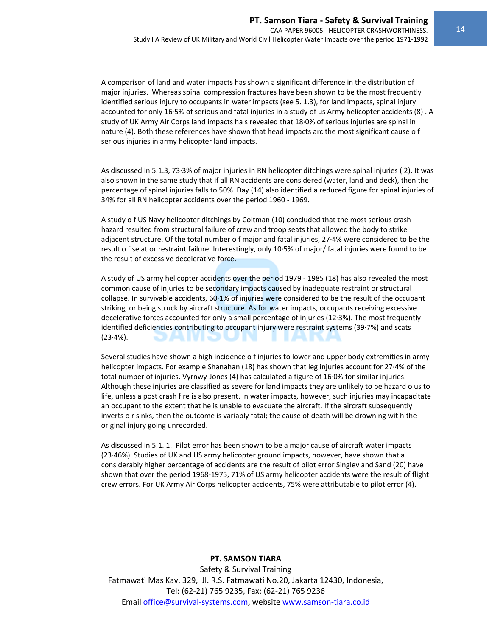A comparison of land and water impacts has shown a significant difference in the distribution of major injuries. Whereas spinal compression fractures have been shown to be the most frequently identified serious injury to occupants in water impacts (see 5. 1.3), for land impacts, spinal injury accounted for only 16∙5% of serious and fatal injuries in a study of us Army helicopter accidents (8) . A study of UK Army Air Corps land impacts ha s revealed that 18∙0% of serious injuries are spinal in nature (4). Both these references have shown that head impacts arc the most significant cause o f serious injuries in army helicopter land impacts.

As discussed in 5.1.3, 73∙3% of major injuries in RN helicopter ditchings were spinal injuries ( 2). It was also shown in the same study that if all RN accidents are considered (water, land and deck), then the percentage of spinal injuries falls to 50%. Day (14) also identified a reduced figure for spinal injuries of 34% for all RN helicopter accidents over the period 1960 ‐ 1969.

A study o f US Navy helicopter ditchings by Coltman (10) concluded that the most serious crash hazard resulted from structural failure of crew and troop seats that allowed the body to strike adjacent structure. Of the total number o f major and fatal injuries, 27∙4% were considered to be the result o f se at or restraint failure. Interestingly, only 10∙5% of major/ fatal injuries were found to be the result of excessive decelerative force.

A study of US army helicopter accidents over the period 1979 ‐ 1985 (18) has also revealed the most common cause of injuries to be secondary impacts caused by inadequate restraint or structural collapse. In survivable accidents, 60∙1% of injuries were considered to be the result of the occupant striking, or being struck by aircraft structure. As for water impacts, occupants receiving excessive decelerative forces accounted for only a small percentage of injuries (12∙3%). The most frequently identified deficiencies contributing to occupant injury were restraint systems (39∙7%) and scats (23∙4%).

Several studies have shown a high incidence o f injuries to lower and upper body extremities in army helicopter impacts. For example Shanahan (18) has shown that leg injuries account for 27∙4% of the total number of injuries. Vyrnwy‐Jones (4) has calculated a figure of 16∙0% for similar injuries. Although these injuries are classified as severe for land impacts they are unlikely to be hazard o us to life, unless a post crash fire is also present. In water impacts, however, such injuries may incapacitate an occupant to the extent that he is unable to evacuate the aircraft. If the aircraft subsequently inverts o r sinks, then the outcome is variably fatal; the cause of death will be drowning wit h the original injury going unrecorded.

As discussed in 5.1. 1. Pilot error has been shown to be a major cause of aircraft water impacts (23∙46%). Studies of UK and US army helicopter ground impacts, however, have shown that a considerably higher percentage of accidents are the result of pilot error Singlev and Sand (20) have shown that over the period 1968‐1975, 71% of US army helicopter accidents were the result of flight crew errors. For UK Army Air Corps helicopter accidents, 75% were attributable to pilot error (4).

#### **PT. SAMSON TIARA**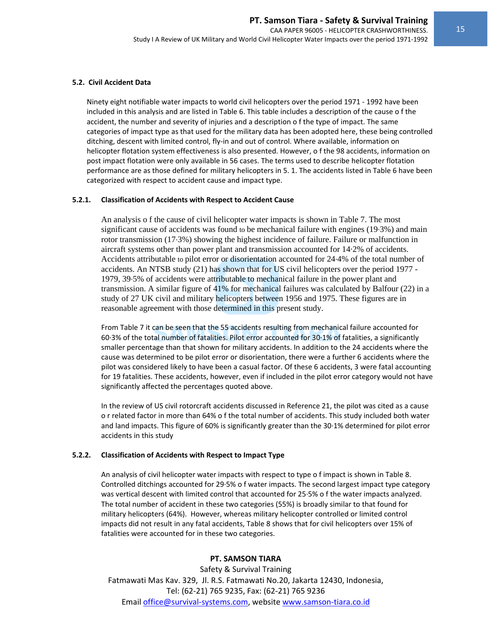#### **5.2. Civil Accident Data**

Ninety eight notifiable water impacts to world civil helicopters over the period 1971 ‐ 1992 have been included in this analysis and are listed in Table 6. This table includes a description of the cause o f the accident, the number and severity of injuries and a description o f the type of impact. The same categories of impact type as that used for the military data has been adopted here, these being controlled ditching, descent with limited control, fly‐in and out of control. Where available, information on helicopter flotation system effectiveness is also presented. However, o f the 98 accidents, information on post impact flotation were only available in 56 cases. The terms used to describe helicopter flotation performance are as those defined for military helicopters in 5. 1. The accidents listed in Table 6 have been categorized with respect to accident cause and impact type.

#### **5.2.1. Classification of Accidents with Respect to Accident Cause**

An analysis o f the cause of civil helicopter water impacts is shown in Table 7. The most significant cause of accidents was found to be mechanical failure with engines (19∙3%) and main rotor transmission (17∙3%) showing the highest incidence of failure. Failure or malfunction in aircraft systems other than power plant and transmission accounted for 14·2% of accidents. Accidents attributable to pilot error or disorientation accounted for 24∙4% of the total number of accidents. An NTSB study (21) has shown that for US civil helicopters over the period 1977 - 1979, 39∙5% of accidents were attributable to mechanical failure in the power plant and transmission. A similar figure of 41% for mechanical failures was calculated by Balfour (22) in a study of 27 UK civil and military helicopters between 1956 and 1975. These figures are in reasonable agreement with those determined in this present study.

From Table 7 it can be seen that the 55 accidents resulting from mechanical failure accounted for 60∙3% of the total number of fatalities. Pilot error accounted for 30∙1% of fatalities, a significantly smaller percentage than that shown for military accidents. In addition to the 24 accidents where the cause was determined to be pilot error or disorientation, there were a further 6 accidents where the pilot was considered likely to have been a casual factor. Of these 6 accidents, 3 were fatal accounting for 19 fatalities. These accidents, however, even if included in the pilot error category would not have significantly affected the percentages quoted above.

In the review of US civil rotorcraft accidents discussed in Reference 21, the pilot was cited as a cause o r related factor in more than 64% o f the total number of accidents. This study included both water and land impacts. This figure of 60% is significantly greater than the 30∙1% determined for pilot error accidents in this study

#### **5.2.2. Classification of Accidents with Respect to Impact Type**

An analysis of civil helicopter water impacts with respect to type o f impact is shown in Table 8. Controlled ditchings accounted for 29∙5% o f water impacts. The second largest impact type category was vertical descent with limited control that accounted for 25∙5% o f the water impacts analyzed. The total number of accident in these two categories (55%) is broadly similar to that found for military helicopters (64%). However, whereas military helicopter controlled or limited control impacts did not result in any fatal accidents, Table 8 shows that for civil helicopters over 15% of fatalities were accounted for in these two categories.

#### **PT. SAMSON TIARA**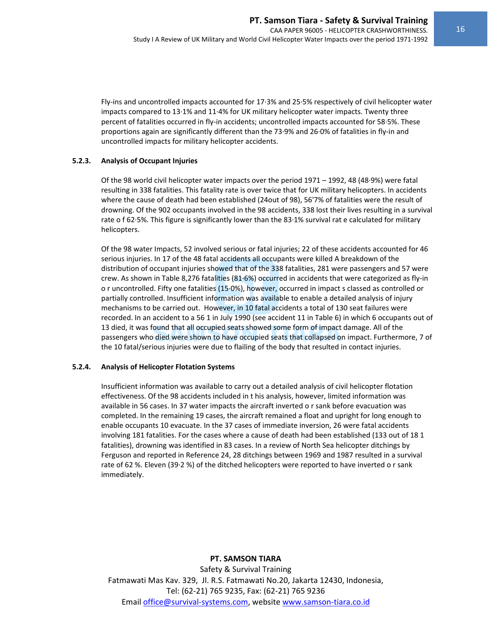Fly‐ins and uncontrolled impacts accounted for 17∙3% and 25∙5% respectively of civil helicopter water impacts compared to 13∙1% and 11∙4% for UK military helicopter water impacts. Twenty three percent of fatalities occurred in fly‐in accidents; uncontrolled impacts accounted for 58∙5%. These proportions again are significantly different than the 73∙9% and 26∙0% of fatalities in fly‐in and uncontrolled impacts for military helicopter accidents.

#### **5.2.3. Analysis of Occupant Injuries**

Of the 98 world civil helicopter water impacts over the period 1971 – 1992, 48 (48∙9%) were fatal resulting in 338 fatalities. This fatality rate is over twice that for UK military helicopters. In accidents where the cause of death had been established (24out of 98), 56'7% of fatalities were the result of drowning. Of the 902 occupants involved in the 98 accidents, 338 lost their lives resulting in a survival rate o f 62∙5%. This figure is significantly lower than the 83∙1% survival rat e calculated for military helicopters.

Of the 98 water Impacts, 52 involved serious or fatal injuries; 22 of these accidents accounted for 46 serious injuries. In 17 of the 48 fatal accidents all occupants were killed A breakdown of the distribution of occupant injuries showed that of the 338 fatalities, 281 were passengers and 57 were crew. As shown in Table 8,276 fatalities (81∙6%) occurred in accidents that were categorized as fly‐in o r uncontrolled. Fifty one fatalities (15∙0%), however, occurred in impact s classed as controlled or partially controlled. Insufficient information was available to enable a detailed analysis of injury mechanisms to be carried out. However, in 10 fatal accidents a total of 130 seat failures were recorded. In an accident to a 56 1 in July 1990 (see accident 11 in Table 6) in which 6 occupants out of 13 died, it was found that all occupied seats showed some form of impact damage. All of the passengers who died were shown to have occupied seats that collapsed on impact. Furthermore, 7 of the 10 fatal/serious injuries were due to flailing of the body that resulted in contact injuries.

#### **5.2.4. Analysis of Helicopter Flotation Systems**

Insufficient information was available to carry out a detailed analysis of civil helicopter flotation effectiveness. Of the 98 accidents included in t his analysis, however, limited information was available in 56 cases. In 37 water impacts the aircraft inverted o r sank before evacuation was completed. In the remaining 19 cases, the aircraft remained a float and upright for long enough to enable occupants 10 evacuate. In the 37 cases of immediate inversion, 26 were fatal accidents involving 181 fatalities. For the cases where a cause of death had been established (133 out of 18 1 fatalities), drowning was identified in 83 cases. In a review of North Sea helicopter ditchings by Ferguson and reported in Reference 24, 28 ditchings between 1969 and 1987 resulted in a survival rate of 62 %. Eleven (39∙2 %) of the ditched helicopters were reported to have inverted o r sank immediately.

#### **PT. SAMSON TIARA**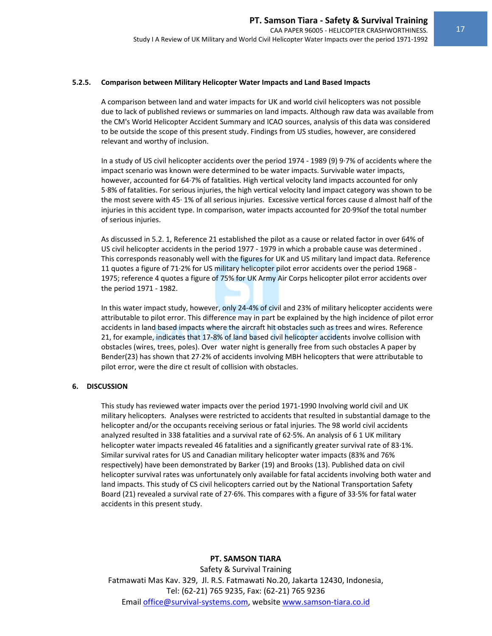#### **5.2.5. Comparison between Military Helicopter Water Impacts and Land Based Impacts**

A comparison between land and water impacts for UK and world civil helicopters was not possible due to lack of published reviews or summaries on land impacts. Although raw data was available from the CM's World Helicopter Accident Summary and ICAO sources, analysis of this data was considered to be outside the scope of this present study. Findings from US studies, however, are considered relevant and worthy of inclusion.

In a study of US civil helicopter accidents over the period 1974 ‐ 1989 (9) 9∙7% of accidents where the impact scenario was known were determined to be water impacts. Survivable water impacts, however, accounted for 64∙7% of fatalities. High vertical velocity land impacts accounted for only 5∙8% of fatalities. For serious injuries, the high vertical velocity land impact category was shown to be the most severe with 45∙ 1% of all serious injuries. Excessive vertical forces cause d almost half of the injuries in this accident type. In comparison, water impacts accounted for 20∙9%of the total number of serious injuries.

As discussed in 5.2. 1, Reference 21 established the pilot as a cause or related factor in over 64% of US civil helicopter accidents in the period 1977 ‐ 1979 in which a probable cause was determined . This corresponds reasonably well with the figures for UK and US military land impact data. Reference 11 quotes a figure of 71∙2% for US military helicopter pilot error accidents over the period 1968 ‐ 1975; reference 4 quotes a figure of 75% for UK Army Air Corps helicopter pilot error accidents over the period 1971 ‐ 1982.

In this water impact study, however, only 24‐4% of civil and 23% of military helicopter accidents were attributable to pilot error. This difference may in part be explained by the high incidence of pilot error accidents in land based impacts where the aircraft hit obstacles such as trees and wires. Reference 21, for example, indicates that 17‐8% of land based civil helicopter accidents involve collision with obstacles (wires, trees, poles). Over water night is generally free from such obstacles A paper by Bender(23) has shown that 27∙2% of accidents involving MBH helicopters that were attributable to pilot error, were the dire ct result of collision with obstacles.

#### **6. DISCUSSION**

This study has reviewed water impacts over the period 1971‐1990 Involving world civil and UK military helicopters. Analyses were restricted to accidents that resulted in substantial damage to the helicopter and/or the occupants receiving serious or fatal injuries. The 98 world civil accidents analyzed resulted in 338 fatalities and a survival rate of 62∙5%. An analysis of 6 1 UK military helicopter water impacts revealed 46 fatalities and a significantly greater survival rate of 83∙1%. Similar survival rates for US and Canadian military helicopter water impacts (83% and 76% respectively) have been demonstrated by Barker (19) and Brooks (13). Published data on civil helicopter survival rates was unfortunately only available for fatal accidents involving both water and land impacts. This study of CS civil helicopters carried out by the National Transportation Safety Board (21) revealed a survival rate of 27∙6%. This compares with a figure of 33∙5% for fatal water accidents in this present study.

#### **PT. SAMSON TIARA**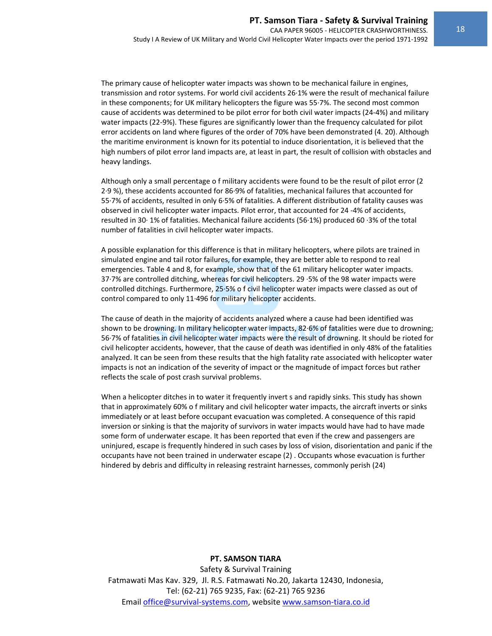The primary cause of helicopter water impacts was shown to be mechanical failure in engines, transmission and rotor systems. For world civil accidents 26∙1% were the result of mechanical failure in these components; for UK military helicopters the figure was 55∙7%. The second most common cause of accidents was determined to be pilot error for both civil water impacts (24‐4%) and military water impacts (22‐9%). These figures are significantly lower than the frequency calculated for pilot error accidents on land where figures of the order of 70% have been demonstrated (4. 20). Although the maritime environment is known for its potential to induce disorientation, it is believed that the high numbers of pilot error land impacts are, at least in part, the result of collision with obstacles and heavy landings.

Although only a small percentage o f military accidents were found to be the result of pilot error (2 2∙9 %), these accidents accounted for 86∙9% of fatalities, mechanical failures that accounted for 55∙7% of accidents, resulted in only 6∙5% of fatalities. A different distribution of fatality causes was observed in civil helicopter water impacts. Pilot error, that accounted for 24 ‐4% of accidents, resulted in 30∙ 1% of fatalities. Mechanical failure accidents (56∙1%) produced 60 ∙3% of the total number of fatalities in civil helicopter water impacts.

A possible explanation for this difference is that in military helicopters, where pilots are trained in simulated engine and tail rotor failures, for example, they are better able to respond to real emergencies. Table 4 and 8, for example, show that of the 61 military helicopter water impacts. 37∙7% are controlled ditching, whereas for civil helicopters. 29 ∙5% of the 98 water impacts were controlled ditchings. Furthermore, 25∙5% o f civil helicopter water impacts were classed as out of control compared to only 11∙496 for military helicopter accidents.

The cause of death in the majority of accidents analyzed where a cause had been identified was shown to be drowning. In military helicopter water impacts, 82∙6% of fatalities were due to drowning; 56∙7% of fatalities in civil helicopter water impacts were the result of drowning. It should be rioted for civil helicopter accidents, however, that the cause of death was identified in only 48% of the fatalities analyzed. It can be seen from these results that the high fatality rate associated with helicopter water impacts is not an indication of the severity of impact or the magnitude of impact forces but rather reflects the scale of post crash survival problems.

When a helicopter ditches in to water it frequently invert s and rapidly sinks. This study has shown that in approximately 60% o f military and civil helicopter water impacts, the aircraft inverts or sinks immediately or at least before occupant evacuation was completed. A consequence of this rapid inversion or sinking is that the majority of survivors in water impacts would have had to have made some form of underwater escape. It has been reported that even if the crew and passengers are uninjured, escape is frequently hindered in such cases by loss of vision, disorientation and panic if the occupants have not been trained in underwater escape (2) . Occupants whose evacuation is further hindered by debris and difficulty in releasing restraint harnesses, commonly perish (24)

#### **PT. SAMSON TIARA**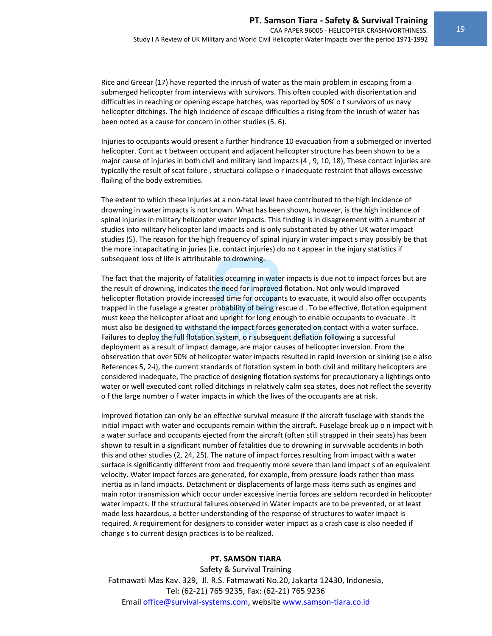Rice and Greear (17) have reported the inrush of water as the main problem in escaping from a submerged helicopter from interviews with survivors. This often coupled with disorientation and difficulties in reaching or opening escape hatches, was reported by 50% o f survivors of us navy helicopter ditchings. The high incidence of escape difficulties a rising from the inrush of water has been noted as a cause for concern in other studies (5. 6).

Injuries to occupants would present a further hindrance 10 evacuation from a submerged or inverted helicopter. Cont ac t between occupant and adjacent helicopter structure has been shown to be a major cause of injuries in both civil and military land impacts (4 , 9, 10, 18), These contact injuries are typically the result of scat failure , structural collapse o r inadequate restraint that allows excessive flailing of the body extremities.

The extent to which these injuries at a non-fatal level have contributed to the high incidence of drowning in water impacts is not known. What has been shown, however, is the high incidence of spinal injuries in military helicopter water impacts. This finding is in disagreement with a number of studies into military helicopter land impacts and is only substantiated by other UK water impact studies (5). The reason for the high frequency of spinal injury in water impact s may possibly be that the more incapacitating in juries (i.e. contact injuries) do no t appear in the injury statistics if subsequent loss of life is attributable to drowning.

The fact that the majority of fatalities occurring in water impacts is due not to impact forces but are the result of drowning, indicates the need for improved flotation. Not only would improved helicopter flotation provide increased time for occupants to evacuate, it would also offer occupants trapped in the fuselage a greater probability of being rescue d . To be effective, flotation equipment must keep the helicopter afloat and upright for long enough to enable occupants to evacuate . It must also be designed to withstand the impact forces generated on contact with a water surface. Failures to deploy the full flotation system, o r subsequent deflation following a successful deployment as a result of impact damage, are major causes of helicopter inversion. From the observation that over 50% of helicopter water impacts resulted in rapid inversion or sinking (se e also References 5, 2-i), the current standards of flotation system in both civil and military helicopters are considered inadequate, The practice of designing flotation systems for precautionary a lightings onto water or well executed cont rolled ditchings in relatively calm sea states, does not reflect the severity o f the large number o f water impacts in which the lives of the occupants are at risk.

Improved flotation can only be an effective survival measure if the aircraft fuselage with stands the initial impact with water and occupants remain within the aircraft. Fuselage break up o n impact wit h a water surface and occupants ejected from the aircraft (often still strapped in their seats) has been shown to result in a significant number of fatalities due to drowning in survivable accidents in both this and other studies (2, 24, 25). The nature of impact forces resulting from impact with a water surface is significantly different from and frequently more severe than land impact s of an equivalent velocity. Water impact forces are generated, for example, from pressure loads rather than mass inertia as in land impacts. Detachment or displacements of large mass items such as engines and main rotor transmission which occur under excessive inertia forces are seldom recorded in helicopter water impacts. If the structural failures observed in Water impacts are to be prevented, or at least made less hazardous, a better understanding of the response of structures to water impact is required. A requirement for designers to consider water impact as a crash case is also needed if change s to current design practices is to be realized.

#### **PT. SAMSON TIARA**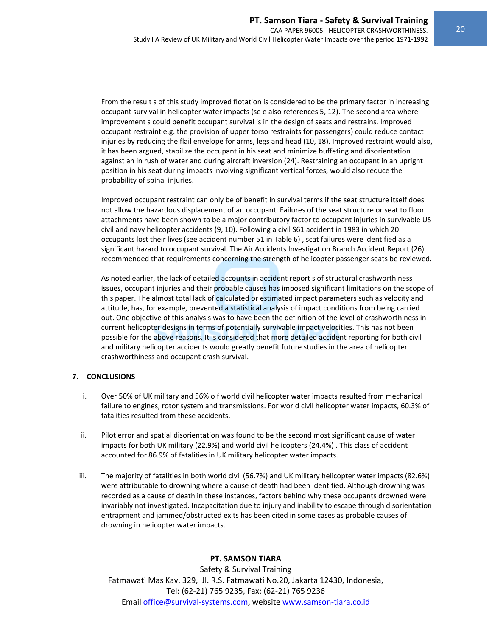From the result s of this study improved flotation is considered to be the primary factor in increasing occupant survival in helicopter water impacts (se e also references 5, 12). The second area where improvement s could benefit occupant survival is in the design of seats and restrains. Improved occupant restraint e.g. the provision of upper torso restraints for passengers) could reduce contact injuries by reducing the flail envelope for arms, legs and head (10, 18). Improved restraint would also, it has been argued, stabilize the occupant in his seat and minimize buffeting and disorientation against an in rush of water and during aircraft inversion (24). Restraining an occupant in an upright position in his seat during impacts involving significant vertical forces, would also reduce the probability of spinal injuries.

Improved occupant restraint can only be of benefit in survival terms if the seat structure itself does not allow the hazardous displacement of an occupant. Failures of the seat structure or seat to floor attachments have been shown to be a major contributory factor to occupant injuries in survivable US civil and navy helicopter accidents (9, 10). Following a civil S61 accident in 1983 in which 20 occupants lost their lives (see accident number 51 in Table 6) , scat failures were identified as a significant hazard to occupant survival. The Air Accidents Investigation Branch Accident Report (26) recommended that requirements concerning the strength of helicopter passenger seats be reviewed.

As noted earlier, the lack of detailed accounts in accident report s of structural crashworthiness issues, occupant injuries and their probable causes has imposed significant limitations on the scope of this paper. The almost total lack of calculated or estimated impact parameters such as velocity and attitude, has, for example, prevented a statistical analysis of impact conditions from being carried out. One objective of this analysis was to have been the definition of the level of crashworthiness in current helicopter designs in terms of potentially survivable impact velocities. This has not been possible for the above reasons. It is considered that more detailed accident reporting for both civil and military helicopter accidents would greatly benefit future studies in the area of helicopter crashworthiness and occupant crash survival.

#### **7. CONCLUSIONS**

- i. Over 50% of UK military and 56% o f world civil helicopter water impacts resulted from mechanical failure to engines, rotor system and transmissions. For world civil helicopter water impacts, 60.3% of fatalities resulted from these accidents.
- ii. Pilot error and spatial disorientation was found to be the second most significant cause of water impacts for both UK military (22.9%) and world civil helicopters (24.4%) . This class of accident accounted for 86.9% of fatalities in UK military helicopter water impacts.
- iii. The majority of fatalities in both world civil (56.7%) and UK military helicopter water impacts (82.6%) were attributable to drowning where a cause of death had been identified. Although drowning was recorded as a cause of death in these instances, factors behind why these occupants drowned were invariably not investigated. Incapacitation due to injury and inability to escape through disorientation entrapment and jammed/obstructed exits has been cited in some cases as probable causes of drowning in helicopter water impacts.

#### **PT. SAMSON TIARA**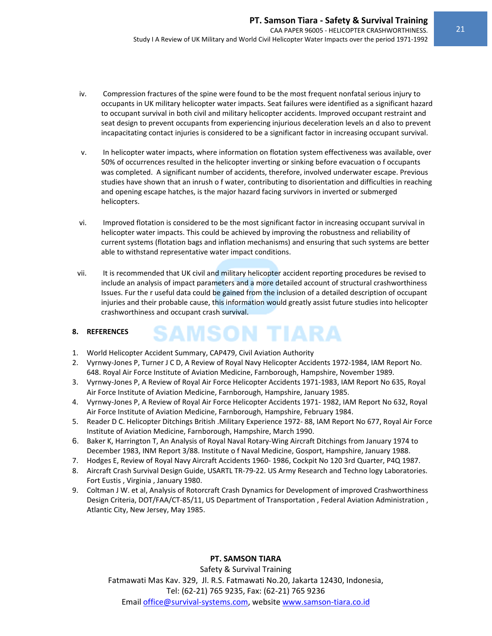- iv. Compression fractures of the spine were found to be the most frequent nonfatal serious injury to occupants in UK military helicopter water impacts. Seat failures were identified as a significant hazard to occupant survival in both civil and military helicopter accidents. Improved occupant restraint and seat design to prevent occupants from experiencing injurious deceleration levels an d also to prevent incapacitating contact injuries is considered to be a significant factor in increasing occupant survival.
- v. In helicopter water impacts, where information on flotation system effectiveness was available, over 50% of occurrences resulted in the helicopter inverting or sinking before evacuation o f occupants was completed. A significant number of accidents, therefore, involved underwater escape. Previous studies have shown that an inrush o f water, contributing to disorientation and difficulties in reaching and opening escape hatches, is the major hazard facing survivors in inverted or submerged helicopters.
- vi. Improved flotation is considered to be the most significant factor in increasing occupant survival in helicopter water impacts. This could be achieved by improving the robustness and reliability of current systems (flotation bags and inflation mechanisms) and ensuring that such systems are better able to withstand representative water impact conditions.
- vii. It is recommended that UK civil and military helicopter accident reporting procedures be revised to include an analysis of impact parameters and a more detailed account of structural crashworthiness Issues. Fur the r useful data could be gained from the inclusion of a detailed description of occupant injuries and their probable cause, this information would greatly assist future studies into helicopter crashworthiness and occupant crash survival.

#### **8. REFERENCES**

- 1. World Helicopter Accident Summary, CAP479, Civil Aviation Authority
- 2. Vyrnwy‐Jones P, Turner J C D, A Review of Royal Navy Helicopter Accidents 1972‐1984, IAM Report No. 648. Royal Air Force Institute of Aviation Medicine, Farnborough, Hampshire, November 1989.

**SAMSON TIARA** 

- 3. Vyrnwy‐Jones P, A Review of Royal Air Force Helicopter Accidents 1971‐1983, IAM Report No 635, Royal Air Force Institute of Aviation Medicine, Farnborough, Hampshire, January 1985.
- 4. Vyrnwy‐Jones P, A Review of Royal Air Force Helicopter Accidents 1971‐ 1982, IAM Report No 632, Royal Air Force Institute of Aviation Medicine, Farnborough, Hampshire, February 1984.
- 5. Reader D C. Helicopter Ditchings British .Military Experience 1972‐ 88, IAM Report No 677, Royal Air Force Institute of Aviation Medicine, Farnborough, Hampshire, March 1990.
- 6. Baker K, Harrington T, An Analysis of Royal Naval Rotary‐Wing Aircraft Ditchings from January 1974 to December 1983, INM Report 3/88. Institute o f Naval Medicine, Gosport, Hampshire, January 1988.
- 7. Hodges E, Review of Royal Navy Aircraft Accidents 1960‐ 1986, Cockpit No 120 3rd Quarter, P4Q 1987.
- 8. Aircraft Crash Survival Design Guide, USARTL TR‐79‐22. US Army Research and Techno logy Laboratories. Fort Eustis , Virginia , January 1980.
- 9. Coltman J W. et al, Analysis of Rotorcraft Crash Dynamics for Development of improved Crashworthiness Design Criteria, DOT/FAA/CT‐85/11, US Department of Transportation , Federal Aviation Administration , Atlantic City, New Jersey, May 1985.

#### **PT. SAMSON TIARA**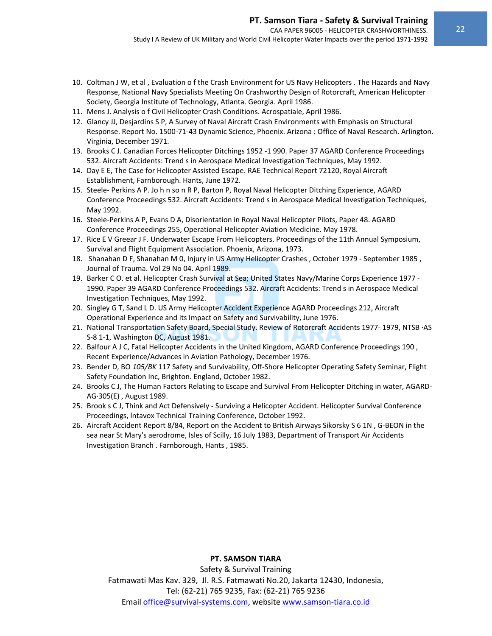Study I A Review of UK Military and World Civil Helicopter Water Impacts over the period 1971‐1992

- 10. Coltman J W, et al , Evaluation o f the Crash Environment for US Navy Helicopters . The Hazards and Navy Response, National Navy Specialists Meeting On Crashworthy Design of Rotorcraft, American Helicopter Society, Georgia Institute of Technology, Atlanta. Georgia. April 1986.
- 11. Mens J. Analysis o f Civil Helicopter Crash Conditions. Acrospatiale, April 1986.
- 12. Glancy JJ, Desjardins S P, A Survey of Naval Aircraft Crash Environments with Emphasis on Structural Response. Report No. 1500‐71‐43 Dynamic Science, Phoenix. Arizona : Office of Naval Research. Arlington. Virginia, December 1971.
- 13. Brooks C J. Canadian Forces Helicopter Ditchings 1952 ‐1 990. Paper 37 AGARD Conference Proceedings 532. Aircraft Accidents: Trend s in Aerospace Medical Investigation Techniques, May 1992.
- 14. Day E E, The Case for Helicopter Assisted Escape. RAE Technical Report 72120, Royal Aircraft Establishment, Farnborough. Hants, June 1972.
- 15. Steele‐ Perkins A P. Jo h n so n R P, Barton P, Royal Naval Helicopter Ditching Experience, AGARD Conference Proceedings 532. Aircraft Accidents: Trend s in Aerospace Medical Investigation Techniques, May 1992.
- 16. Steele-Perkins A P, Evans D A, Disorientation in Royal Naval Helicopter Pilots, Paper 48. AGARD Conference Proceedings 255, Operational Helicopter Aviation Medicine. May 1978.
- 17. Rice E V Greear J F. Underwater Escape From Helicopters. Proceedings of the 11th Annual Symposium, Survival and Flight Equipment Association. Phoenix, Arizona, 1973.
- 18. Shanahan D F, Shanahan M 0, Injury in US Army Helicopter Crashes , October 1979 ‐ September 1985 , Journal of Trauma. Vol 29 No 04. April 1989.
- 19. Barker C O. et al. Helicopter Crash Survival at Sea; United States Navy/Marine Corps Experience 1977 ‐ 1990. Paper 39 AGARD Conference Proceedings 532. Aircraft Accidents: Trend s in Aerospace Medical Investigation Techniques, May 1992.
- 20. Singley G T, Sand L D. US Army Helicopter Accident Experience AGARD Proceedings 212, Aircraft Operational Experience and its Impact on Safety and Survivability, June 1976.
- 21. National Transportation Safety Board, Special Study. Review of Rotorcraft Accidents 1977‐ 1979, NTSB ∙AS S‐8 1‐1, Washington DC, August 1981.
- 22. Balfour A J C, Fatal Helicopter Accidents in the United Kingdom, AGARD Conference Proceedings 190 , Recent Experience/Advances in Aviation Pathology, December 1976.
- 23. Bender D, BO *105/BK* 117 Safety and Survivability, Off‐Shore Helicopter Operating Safety Seminar, Flight Safety Foundation Inc, Brighton. England, October 1982.
- 24. Brooks C J, The Human Factors Relating to Escape and Survival From Helicopter Ditching in water, AGARD‐ AG∙305(E) , August 1989.
- 25. Brook s C J, Think and Act Defensively ‐ Surviving a Helicopter Accident. Helicopter Survival Conference Proceedings, lntavox Technical Training Conference, October 1992.
- 26. Aircraft Accident Report 8/84, Report on the Accident to British Airways Sikorsky S 6 1N , G‐BEON in the sea near St Mary's aerodrome, Isles of Scilly, 16 July 1983, Department of Transport Air Accidents Investigation Branch . Farnborough, Hants , 1985.

#### **PT. SAMSON TIARA**